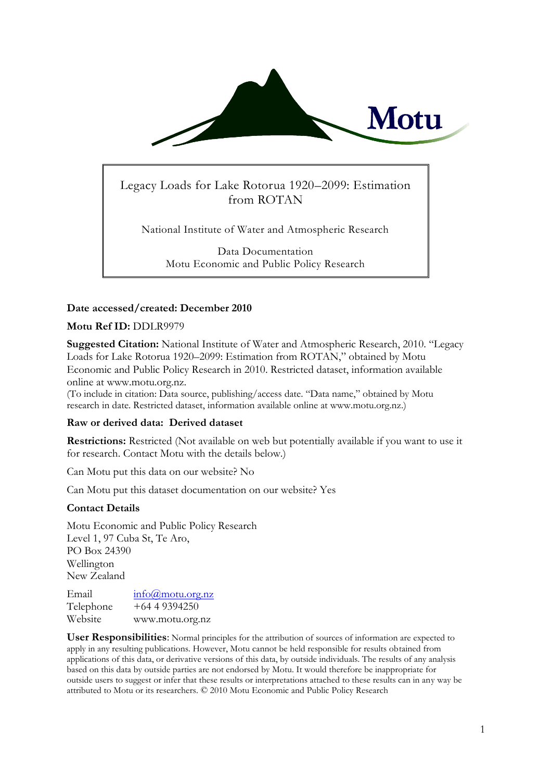

# Legacy Loads for Lake Rotorua 1920–2099: Estimation from ROTAN

National Institute of Water and Atmospheric Research

Data Documentation Motu Economic and Public Policy Research

## **Date accessed/created: December 2010**

#### **Motu Ref ID:** DDLR9979

**Suggested Citation:** National Institute of Water and Atmospheric Research, 2010. "Legacy Loads for Lake Rotorua 1920–2099: Estimation from ROTAN," obtained by Motu Economic and Public Policy Research in 2010. Restricted dataset, information available online at www.motu.org.nz.

(To include in citation: Data source, publishing/access date. "Data name," obtained by Motu research in date. Restricted dataset, information available online at www.motu.org.nz.)

#### **Raw or derived data: Derived dataset**

**Restrictions:** Restricted (Not available on web but potentially available if you want to use it for research. Contact Motu with the details below.)

Can Motu put this data on our website? No

Can Motu put this dataset documentation on our website? Yes

#### **Contact Details**

Motu Economic and Public Policy Research Level 1, 97 Cuba St, Te Aro, PO Box 24390 Wellington New Zealand

Email [info@motu.org.nz](mailto:info@motu.org.nz) Telephone +64 4 9394250 Website www.motu.org.nz

**User Responsibilities**: Normal principles for the attribution of sources of information are expected to apply in any resulting publications. However, Motu cannot be held responsible for results obtained from applications of this data, or derivative versions of this data, by outside individuals. The results of any analysis based on this data by outside parties are not endorsed by Motu. It would therefore be inappropriate for outside users to suggest or infer that these results or interpretations attached to these results can in any way be attributed to Motu or its researchers. © 2010 Motu Economic and Public Policy Research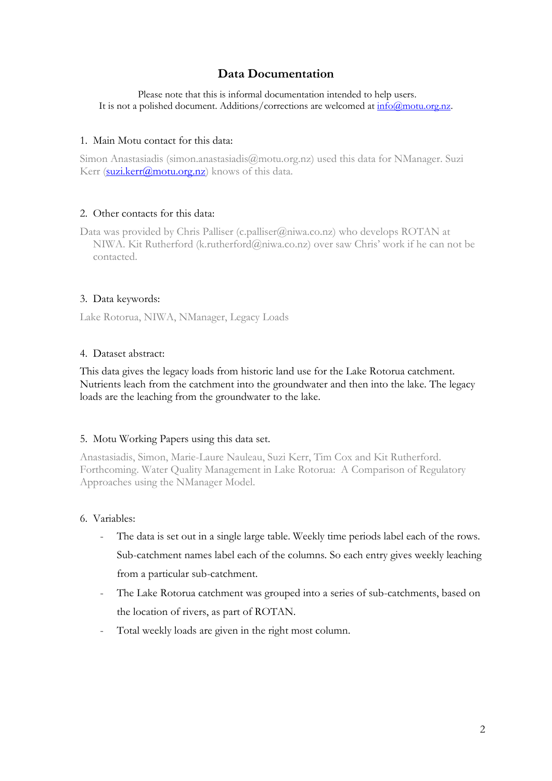# **Data Documentation**

Please note that this is informal documentation intended to help users. It is not a polished document. Additions/corrections are welcomed at  $\frac{info(@motu.org.nz)}{info(@motu.org.nz)}$ .

### 1. Main Motu contact for this data:

Simon Anastasiadis (simon.anastasiadis@motu.org.nz) used this data for NManager. Suzi Kerr [\(suzi.kerr@motu.org.nz\)](mailto:suzi.kerr@motu.org.nz) knows of this data.

#### 2. Other contacts for this data:

Data was provided by Chris Palliser (c.palliser@niwa.co.nz) who develops ROTAN at NIWA. Kit Rutherford (k.rutherford@niwa.co.nz) over saw Chris' work if he can not be contacted.

## 3. Data keywords:

Lake Rotorua, NIWA, NManager, Legacy Loads

#### 4. Dataset abstract:

This data gives the legacy loads from historic land use for the Lake Rotorua catchment. Nutrients leach from the catchment into the groundwater and then into the lake. The legacy loads are the leaching from the groundwater to the lake.

#### 5. Motu Working Papers using this data set.

Anastasiadis, Simon, Marie-Laure Nauleau, Suzi Kerr, Tim Cox and Kit Rutherford. Forthcoming. Water Quality Management in Lake Rotorua: A Comparison of Regulatory Approaches using the NManager Model.

# 6. Variables:

- The data is set out in a single large table. Weekly time periods label each of the rows. Sub-catchment names label each of the columns. So each entry gives weekly leaching from a particular sub-catchment.
- The Lake Rotorua catchment was grouped into a series of sub-catchments, based on the location of rivers, as part of ROTAN.
- Total weekly loads are given in the right most column.